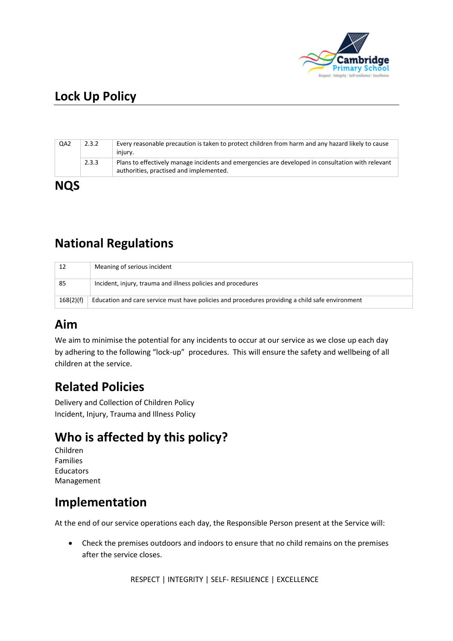

# **Lock Up Policy**

|            | 2.3.3 | Plans to effectively manage incidents and emergencies are developed in consultation with relevant<br>authorities, practised and implemented. |
|------------|-------|----------------------------------------------------------------------------------------------------------------------------------------------|
| <b>NQS</b> |       |                                                                                                                                              |

## **National Regulations**

| 12        | Meaning of serious incident                                                                     |  |
|-----------|-------------------------------------------------------------------------------------------------|--|
| 85        | Incident, injury, trauma and illness policies and procedures                                    |  |
| 168(2)(f) | Education and care service must have policies and procedures providing a child safe environment |  |

# **Aim**

We aim to minimise the potential for any incidents to occur at our service as we close up each day by adhering to the following "lock-up" procedures. This will ensure the safety and wellbeing of all children at the service.

### **Related Policies**

Delivery and Collection of Children Policy Incident, Injury, Trauma and Illness Policy

# **Who is affected by this policy?**

Children Families Educators Management

### **Implementation**

At the end of our service operations each day, the Responsible Person present at the Service will:

• Check the premises outdoors and indoors to ensure that no child remains on the premises after the service closes.

RESPECT | INTEGRITY | SELF- RESILIENCE | EXCELLENCE